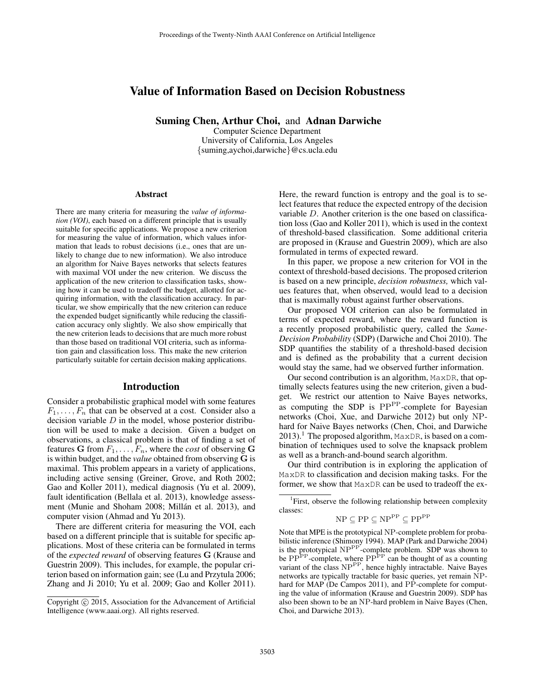# Value of Information Based on Decision Robustness

Suming Chen, Arthur Choi, and Adnan Darwiche

Computer Science Department University of California, Los Angeles {suming,aychoi,darwiche}@cs.ucla.edu

#### Abstract

There are many criteria for measuring the *value of information (VOI)*, each based on a different principle that is usually suitable for specific applications. We propose a new criterion for measuring the value of information, which values information that leads to robust decisions (i.e., ones that are unlikely to change due to new information). We also introduce an algorithm for Naive Bayes networks that selects features with maximal VOI under the new criterion. We discuss the application of the new criterion to classification tasks, showing how it can be used to tradeoff the budget, allotted for acquiring information, with the classification accuracy. In particular, we show empirically that the new criterion can reduce the expended budget significantly while reducing the classification accuracy only slightly. We also show empirically that the new criterion leads to decisions that are much more robust than those based on traditional VOI criteria, such as information gain and classification loss. This make the new criterion particularly suitable for certain decision making applications.

### Introduction

Consider a probabilistic graphical model with some features  $F_1, \ldots, F_n$  that can be observed at a cost. Consider also a decision variable  $D$  in the model, whose posterior distribution will be used to make a decision. Given a budget on observations, a classical problem is that of finding a set of features G from  $F_1, \ldots, F_n$ , where the *cost* of observing G is within budget, and the *value* obtained from observing G is maximal. This problem appears in a variety of applications, including active sensing (Greiner, Grove, and Roth 2002; Gao and Koller 2011), medical diagnosis (Yu et al. 2009), fault identification (Bellala et al. 2013), knowledge assessment (Munie and Shoham 2008; Millán et al. 2013), and computer vision (Ahmad and Yu 2013).

There are different criteria for measuring the VOI, each based on a different principle that is suitable for specific applications. Most of these criteria can be formulated in terms of the *expected reward* of observing features G (Krause and Guestrin 2009). This includes, for example, the popular criterion based on information gain; see (Lu and Przytula 2006; Zhang and Ji 2010; Yu et al. 2009; Gao and Koller 2011).

Here, the reward function is entropy and the goal is to select features that reduce the expected entropy of the decision variable D. Another criterion is the one based on classification loss (Gao and Koller 2011), which is used in the context of threshold-based classification. Some additional criteria are proposed in (Krause and Guestrin 2009), which are also formulated in terms of expected reward.

In this paper, we propose a new criterion for VOI in the context of threshold-based decisions. The proposed criterion is based on a new principle, *decision robustness,* which values features that, when observed, would lead to a decision that is maximally robust against further observations.

Our proposed VOI criterion can also be formulated in terms of expected reward, where the reward function is a recently proposed probabilistic query, called the *Same-Decision Probability* (SDP) (Darwiche and Choi 2010). The SDP quantifies the stability of a threshold-based decision and is defined as the probability that a current decision would stay the same, had we observed further information.

Our second contribution is an algorithm, MaxDR, that optimally selects features using the new criterion, given a budget. We restrict our attention to Naive Bayes networks, as computing the SDP is PP<sup>PP</sup>-complete for Bayesian networks (Choi, Xue, and Darwiche 2012) but only NPhard for Naive Bayes networks (Chen, Choi, and Darwiche  $2013$ ).<sup>1</sup> The proposed algorithm, MaxDR, is based on a combination of techniques used to solve the knapsack problem as well as a branch-and-bound search algorithm.

Our third contribution is in exploring the application of MaxDR to classification and decision making tasks. For the former, we show that MaxDR can be used to tradeoff the ex-

$$
\mathrm{NP} \subseteq \mathrm{PP} \subseteq \mathrm{NP}^{\mathrm{PP}} \subseteq \mathrm{PP}^{\mathrm{PP}}
$$

Note that MPE is the prototypical NP-complete problem for probabilistic inference (Shimony 1994). MAP (Park and Darwiche 2004) is the prototypical NP<sup>PP</sup>-complete problem. SDP was shown to be  $PP^{PP}$ -complete, where  $PP^{PP}$  can be thought of as a counting variant of the class NP<sup>PP</sup>, hence highly intractable. Naive Bayes networks are typically tractable for basic queries, yet remain NPhard for MAP (De Campos 2011), and PP-complete for computing the value of information (Krause and Guestrin 2009). SDP has also been shown to be an NP-hard problem in Naive Bayes (Chen, Choi, and Darwiche 2013).

Copyright © 2015, Association for the Advancement of Artificial Intelligence (www.aaai.org). All rights reserved.

<sup>&</sup>lt;sup>1</sup>First, observe the following relationship between complexity classes: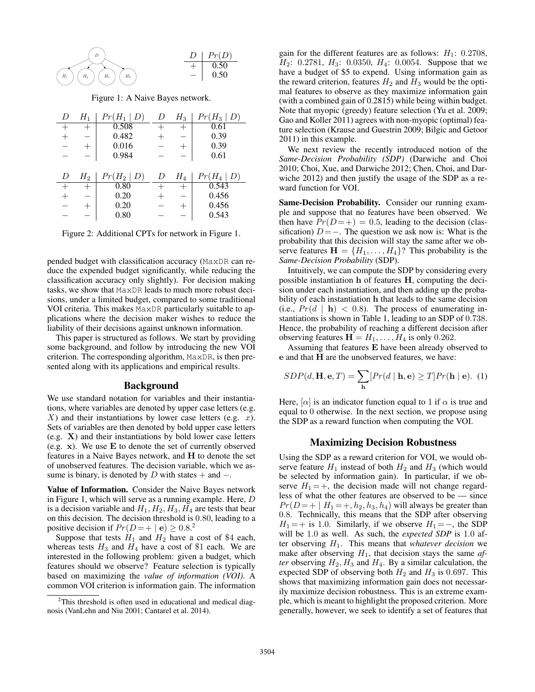

Figure 1: A Naive Bayes network.

| D | $H_1$ | $Pr(H_1  $<br>D) | D | $H_3$              | $Pr(H_3  $<br>D) |
|---|-------|------------------|---|--------------------|------------------|
|   |       | 0.508            |   | $\hspace{0.1mm} +$ | 0.61             |
|   |       | 0.482            |   |                    | 0.39             |
|   | $^+$  | 0.016            |   | $^{+}$             | 0.39             |
|   |       | 0.984            |   |                    | 0.61             |
|   |       |                  |   |                    |                  |
| D | $H_2$ | $Pr(H_2   D)$    | D | $H_4$              | $Pr(H_4   D)$    |
|   |       | 0.80             |   | $^+$               | 0.543            |
|   |       | 0.20             |   |                    | 0.456            |
|   |       | 0.20             |   | $^{+}$             | 0.456            |
|   |       |                  |   |                    |                  |

Figure 2: Additional CPTs for network in Figure 1.

pended budget with classification accuracy (MaxDR can reduce the expended budget significantly, while reducing the classification accuracy only slightly). For decision making tasks, we show that MaxDR leads to much more robust decisions, under a limited budget, compared to some traditional VOI criteria. This makes MaxDR particularly suitable to applications where the decision maker wishes to reduce the liability of their decisions against unknown information.

This paper is structured as follows. We start by providing some background, and follow by introducing the new VOI criterion. The corresponding algorithm, MaxDR, is then presented along with its applications and empirical results.

### Background

We use standard notation for variables and their instantiations, where variables are denoted by upper case letters (e.g.  $X$ ) and their instantiations by lower case letters (e.g.  $x$ ). Sets of variables are then denoted by bold upper case letters (e.g. X) and their instantiations by bold lower case letters (e.g. x). We use E to denote the set of currently observed features in a Naive Bayes network, and H to denote the set of unobserved features. The decision variable, which we assume is binary, is denoted by D with states  $+$  and  $-$ .

Value of Information. Consider the Naive Bayes network in Figure 1, which will serve as a running example. Here, D is a decision variable and  $H_1, H_2, H_3, H_4$  are tests that bear on this decision. The decision threshold is 0.80, leading to a positive decision if  $Pr(D = + | \mathbf{e}) \ge 0.8$ <sup>2</sup>

Suppose that tests  $H_1$  and  $H_2$  have a cost of \$4 each, whereas tests  $H_3$  and  $H_4$  have a cost of \$1 each. We are interested in the following problem: given a budget, which features should we observe? Feature selection is typically based on maximizing the *value of information (VOI)*. A common VOI criterion is information gain. The information

gain for the different features are as follows:  $H_1$ : 0.2708,  $H_2$ : 0.2781,  $H_3$ : 0.0350,  $H_4$ : 0.0054. Suppose that we have a budget of \$5 to expend. Using information gain as the reward criterion, features  $H_2$  and  $H_3$  would be the optimal features to observe as they maximize information gain (with a combined gain of 0.2815) while being within budget. Note that myopic (greedy) feature selection (Yu et al. 2009; Gao and Koller 2011) agrees with non-myopic (optimal) feature selection (Krause and Guestrin 2009; Bilgic and Getoor 2011) in this example.

We next review the recently introduced notion of the *Same-Decision Probability (SDP)* (Darwiche and Choi 2010; Choi, Xue, and Darwiche 2012; Chen, Choi, and Darwiche 2012) and then justify the usage of the SDP as a reward function for VOI.

Same-Decision Probability. Consider our running example and suppose that no features have been observed. We then have  $Pr(D = +) = 0.5$ , leading to the decision (classification)  $D = -$ . The question we ask now is: What is the probability that this decision will stay the same after we observe features  $\mathbf{H} = \{H_1, \ldots, H_4\}$ ? This probability is the *Same-Decision Probability* (SDP).

Intuitively, we can compute the SDP by considering every possible instantiation h of features H, computing the decision under each instantiation, and then adding up the probability of each instantiation h that leads to the same decision (i.e.,  $Pr(d \mid \mathbf{h}) < 0.8$ ). The process of enumerating instantiations is shown in Table 1, leading to an SDP of 0.738. Hence, the probability of reaching a different decision after observing features  $H = H_1, \ldots, H_4$  is only 0.262.

Assuming that features E have been already observed to e and that H are the unobserved features, we have:

$$
SDP(d, \mathbf{H}, \mathbf{e}, T) = \sum_{\mathbf{h}} [Pr(d | \mathbf{h}, \mathbf{e}) \ge T] Pr(\mathbf{h} | \mathbf{e}). (1)
$$

Here,  $[\alpha]$  is an indicator function equal to 1 if  $\alpha$  is true and equal to 0 otherwise. In the next section, we propose using the SDP as a reward function when computing the VOI.

#### Maximizing Decision Robustness

Using the SDP as a reward criterion for VOI, we would observe feature  $H_1$  instead of both  $H_2$  and  $H_3$  (which would be selected by information gain). In particular, if we observe  $H_1 = +$ , the decision made will not change regardless of what the other features are observed to be — since  $Pr(D = + | H_1 = +, h_2, h_3, h_4)$  will always be greater than 0.8. Technically, this means that the SDP after observing  $H_1 = +$  is 1.0. Similarly, if we observe  $H_1 = -$ , the SDP will be 1.0 as well. As such, the *expected SDP* is 1.0 after observing H1. This means that *whatever decision* we make after observing  $H_1$ , that decision stays the same  $af$ *ter* observing  $H_2, H_3$  and  $H_4$ . By a similar calculation, the expected SDP of observing both  $H_2$  and  $H_3$  is 0.697. This shows that maximizing information gain does not necessarily maximize decision robustness. This is an extreme example, which is meant to highlight the proposed criterion. More generally, however, we seek to identify a set of features that

<sup>&</sup>lt;sup>2</sup>This threshold is often used in educational and medical diagnosis (VanLehn and Niu 2001; Cantarel et al. 2014).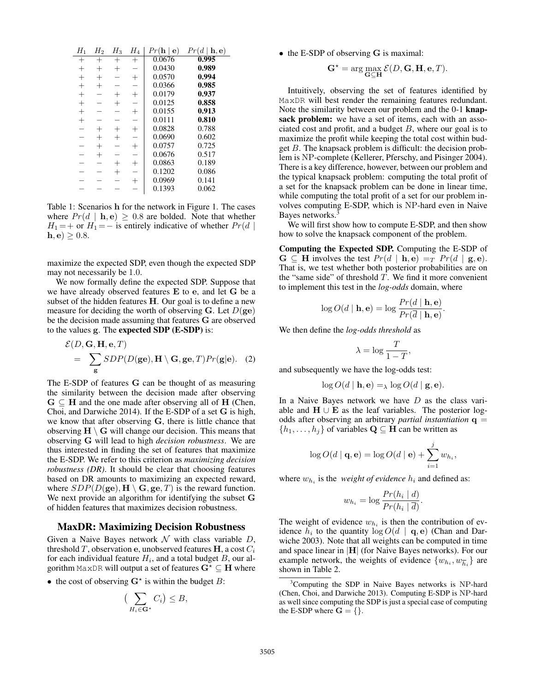| $H_1$                    | $H_2$  | $H_3$              | $H_4$  | $Pr(\mathbf{h}   \mathbf{e})$ | $Pr(d   \mathbf{h}, \mathbf{e})$ |
|--------------------------|--------|--------------------|--------|-------------------------------|----------------------------------|
| $^+$                     | $^{+}$ | $\hspace{0.1mm} +$ | $^{+}$ | 0.0676                        | 0.995                            |
| $^{+}$                   | $^{+}$ | $^{+}$             |        | 0.0430                        | 0.989                            |
| $^{+}$                   | $^{+}$ |                    | $^{+}$ | 0.0570                        | 0.994                            |
| $^{+}$                   | $^{+}$ |                    | -      | 0.0366                        | 0.985                            |
| $^{+}$                   |        | $^{+}$             | $^{+}$ | 0.0179                        | 0.937                            |
| $^{+}$                   |        | $^{+}$             | L.     | 0.0125                        | 0.858                            |
| $^{+}$                   |        |                    | $^{+}$ | 0.0155                        | 0.913                            |
| $^{+}$                   |        |                    | ÷,     | 0.0111                        | 0.810                            |
| -                        | $^{+}$ | $^{+}$             | $^{+}$ | 0.0828                        | 0.788                            |
| -                        | $^{+}$ | $^{+}$             | -      | 0.0690                        | 0.602                            |
|                          | $^{+}$ |                    | $^{+}$ | 0.0757                        | 0.725                            |
|                          | $^{+}$ |                    |        | 0.0676                        | 0.517                            |
| $\overline{\phantom{a}}$ |        | $^{+}$             | $^{+}$ | 0.0863                        | 0.189                            |
|                          |        | $^{+}$             |        | 0.1202                        | 0.086                            |
|                          |        |                    | $^{+}$ | 0.0969                        | 0.141                            |
|                          |        |                    |        | 0.1393                        | 0.062                            |

Table 1: Scenarios h for the network in Figure 1. The cases where  $Pr(d | \mathbf{h}, \mathbf{e}) \geq 0.8$  are bolded. Note that whether  $H_1 = +$  or  $H_1 = -$  is entirely indicative of whether  $Pr(d |$  $h, e) \geq 0.8.$ 

maximize the expected SDP, even though the expected SDP may not necessarily be 1.0.

We now formally define the expected SDP. Suppose that we have already observed features E to e, and let G be a subset of the hidden features H. Our goal is to define a new measure for deciding the worth of observing G. Let  $D(\mathbf{ge})$ be the decision made assuming that features G are observed to the values g. The expected SDP (E-SDP) is:

$$
\mathcal{E}(D, \mathbf{G}, \mathbf{H}, \mathbf{e}, T)
$$
  
= 
$$
\sum_{\mathbf{g}} SDP(D(\mathbf{g}\mathbf{e}), \mathbf{H} \setminus \mathbf{G}, \mathbf{g}\mathbf{e}, T)Pr(\mathbf{g}|\mathbf{e}).
$$
 (2)

The E-SDP of features G can be thought of as measuring the similarity between the decision made after observing  $G \subseteq H$  and the one made after observing all of H (Chen, Choi, and Darwiche 2014). If the E-SDP of a set G is high, we know that after observing G, there is little chance that observing  $H \setminus G$  will change our decision. This means that observing G will lead to high *decision robustness*. We are thus interested in finding the set of features that maximize the E-SDP. We refer to this criterion as *maximizing decision robustness (DR)*. It should be clear that choosing features based on DR amounts to maximizing an expected reward, where  $SDP(D(\textbf{ge}), \mathbf{H} \setminus \mathbf{G}, \textbf{ge}, T)$  is the reward function. We next provide an algorithm for identifying the subset G of hidden features that maximizes decision robustness.

#### MaxDR: Maximizing Decision Robustness

Given a Naive Bayes network  $\mathcal N$  with class variable  $D$ , threshold T, observation e, unobserved features H, a cost  $C_i$ for each individual feature  $H_i$ , and a total budget  $B$ , our algorithm MaxDR will output a set of features  $G^* \subseteq H$  where

• the cost of observing  $G^*$  is within the budget  $B$ :

$$
\big(\sum_{H_i\in\mathbf{G}^*} C_i\big)\leq B,
$$

• the E-SDP of observing G is maximal:

$$
\mathbf{G}^* = \arg \max_{\mathbf{G} \subseteq \mathbf{H}} \mathcal{E}(D, \mathbf{G}, \mathbf{H}, \mathbf{e}, T).
$$

Intuitively, observing the set of features identified by MaxDR will best render the remaining features redundant. Note the similarity between our problem and the 0-1 knapsack problem: we have a set of items, each with an associated cost and profit, and a budget  $B$ , where our goal is to maximize the profit while keeping the total cost within budget B. The knapsack problem is difficult: the decision problem is NP-complete (Kellerer, Pferschy, and Pisinger 2004). There is a key difference, however, between our problem and the typical knapsack problem: computing the total profit of a set for the knapsack problem can be done in linear time, while computing the total profit of a set for our problem involves computing E-SDP, which is NP-hard even in Naive Bayes networks.<sup>3</sup>

We will first show how to compute E-SDP, and then show how to solve the knapsack component of the problem.

Computing the Expected SDP. Computing the E-SDP of  $\mathbf{G} \subseteq \mathbf{H}$  involves the test  $Pr(d \mid \mathbf{h}, \mathbf{e}) =_T Pr(d \mid \mathbf{g}, \mathbf{e}).$ That is, we test whether both posterior probabilities are on the "same side" of threshold  $T$ . We find it more convenient to implement this test in the *log-odds* domain, where

$$
\log O(d \mid \mathbf{h}, \mathbf{e}) = \log \frac{Pr(d \mid \mathbf{h}, \mathbf{e})}{Pr(\overline{d} \mid \mathbf{h}, \mathbf{e})}.
$$

We then define the *log-odds threshold* as

$$
\lambda = \log \frac{T}{1 - T},
$$

and subsequently we have the log-odds test:

$$
\log O(d \mid \mathbf{h}, \mathbf{e}) =_{\lambda} \log O(d \mid \mathbf{g}, \mathbf{e}).
$$

In a Naive Bayes network we have  $D$  as the class variable and  $H \cup E$  as the leaf variables. The posterior logodds after observing an arbitrary *partial instantiation* q =  $\{h_1, \ldots, h_j\}$  of variables  $\mathbf{Q} \subseteq \mathbf{H}$  can be written as

$$
\log O(d \mid \mathbf{q}, \mathbf{e}) = \log O(d \mid \mathbf{e}) + \sum_{i=1}^{j} w_{h_i},
$$

where  $w_{h_i}$  is the *weight of evidence*  $h_i$  and defined as:

$$
w_{h_i} = \log \frac{Pr(h_i \mid d)}{Pr(h_i \mid \overline{d})}.
$$

The weight of evidence  $w_{h_i}$  is then the contribution of evidence  $h_i$  to the quantity  $\log O(d \mid \mathbf{q}, \mathbf{e})$  (Chan and Darwiche 2003). Note that all weights can be computed in time and space linear in  $|H|$  (for Naive Bayes networks). For our example network, the weights of evidence  $\{w_{h_i}, w_{\overline{h}_i}\}$  are shown in Table 2.

<sup>&</sup>lt;sup>3</sup>Computing the SDP in Naive Bayes networks is NP-hard (Chen, Choi, and Darwiche 2013). Computing E-SDP is NP-hard as well since computing the SDP is just a special case of computing the E-SDP where  $G = \{\}.$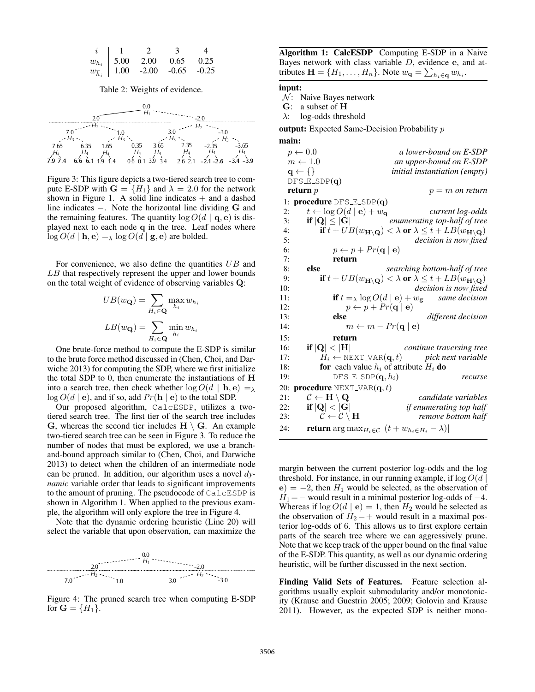|                      | $w_{h_i}$   5.00 2.00          | 0.65 | 0.25 |
|----------------------|--------------------------------|------|------|
| $w_{\overline{h}_i}$ | $\vert$ 1.00 -2.00 -0.65 -0.25 |      |      |

Table 2: Weights of evidence.

| 7.0<br>7.65<br>$7.9\,7.4$ | 7.0<br>$H_3$<br>$H_3$<br>6.35 1.65 0.35 3.65 2.35 -2.35 -3.65<br>$H_4$ $H_4$ $H_4$ $H_4$ $H_4$ $H_4$ $H_4$<br>$+ 6.6$ 6.1 1.9 1.4 0.6 0.1 3.9 3.4 2.6 2.1 -2.1 -2.6 -3.4 -3.9 |  |  |
|---------------------------|-------------------------------------------------------------------------------------------------------------------------------------------------------------------------------|--|--|

Figure 3: This figure depicts a two-tiered search tree to compute E-SDP with  $G = \{H_1\}$  and  $\lambda = 2.0$  for the network shown in Figure 1. A solid line indicates  $+$  and a dashed line indicates −. Note the horizontal line dividing G and the remaining features. The quantity  $\log O(d \mid \mathbf{q}, \mathbf{e})$  is displayed next to each node q in the tree. Leaf nodes where  $\log O(d \mid \mathbf{h}, \mathbf{e}) = \lambda \log O(d \mid \mathbf{g}, \mathbf{e})$  are bolded.

For convenience, we also define the quantities  $UB$  and LB that respectively represent the upper and lower bounds on the total weight of evidence of observing variables Q:

$$
UB(w_{\mathbf{Q}}) = \sum_{H_i \in \mathbf{Q}} \max_{h_i} w_{h_i}
$$

$$
LB(w_{\mathbf{Q}}) = \sum_{H_i \in \mathbf{Q}} \min_{h_i} w_{h_i}
$$

One brute-force method to compute the E-SDP is similar to the brute force method discussed in (Chen, Choi, and Darwiche 2013) for computing the SDP, where we first initialize the total SDP to  $0$ , then enumerate the instantiations of  $H$ into a search tree, then check whether  $\log O(d \mid \mathbf{h}, \mathbf{e}) =_{\lambda}$  $\log O(d \mid \mathbf{e})$ , and if so, add  $Pr(\mathbf{h} \mid \mathbf{e})$  to the total SDP.

Our proposed algorithm, CalcESDP, utilizes a twotiered search tree. The first tier of the search tree includes G, whereas the second tier includes  $H \setminus G$ . An example two-tiered search tree can be seen in Figure 3. To reduce the number of nodes that must be explored, we use a branchand-bound approach similar to (Chen, Choi, and Darwiche 2013) to detect when the children of an intermediate node can be pruned. In addition, our algorithm uses a novel *dynamic* variable order that leads to significant improvements to the amount of pruning. The pseudocode of CalcESDP is shown in Algorithm 1. When applied to the previous example, the algorithm will only explore the tree in Figure 4.

Note that the dynamic ordering heuristic (Line 20) will select the variable that upon observation, can maximize the



Figure 4: The pruned search tree when computing E-SDP for  $G = \{H_1\}.$ 

Algorithm 1: CalcESDP Computing E-SDP in a Naive Bayes network with class variable D, evidence e, and attributes  $\mathbf{H} = \{H_1, \ldots, H_n\}$ . Note  $w_{\mathbf{q}} = \sum_{h_i \in \mathbf{q}} w_{h_i}$ .

input:

 $\mathcal{N}$ : Naive Bayes network

G: a subset of H  $\lambda$ : log-odds threshold

output: Expected Same-Decision Probability p

mai

| main: |                                                           |                                                                                                                      |
|-------|-----------------------------------------------------------|----------------------------------------------------------------------------------------------------------------------|
|       | $p \leftarrow 0.0$                                        | a lower-bound on E-SDP                                                                                               |
|       | $m \leftarrow 1.0$                                        | an upper-bound on E-SDP                                                                                              |
|       | $\{ \} \rightarrow \mathbf{p}$                            | initial instantiation (empty)                                                                                        |
|       | $DFS_E\_SDP(q)$                                           |                                                                                                                      |
|       | return $p$                                                | $p = m$ on return                                                                                                    |
|       | 1: procedure $DFS_E\_SDP(q)$                              |                                                                                                                      |
| 2:    | $t \leftarrow \log O(d \mid \mathbf{e}) + w_{\mathbf{q}}$ | current log-odds                                                                                                     |
| 3:    | if $ Q  \leq  G $                                         | enumerating top-half of tree                                                                                         |
| 4:    |                                                           | if $t + UB(w_{\mathbf{H}\setminus\mathbf{Q}}) < \lambda$ or $\lambda \leq t + LB(w_{\mathbf{H}\setminus\mathbf{Q}})$ |
| 5:    |                                                           | decision is now fixed                                                                                                |
| 6:    | $p \leftarrow p + Pr(\mathbf{q} \mid \mathbf{e})$         |                                                                                                                      |
| 7:    | return                                                    |                                                                                                                      |
| 8:    | else                                                      | searching bottom-half of tree                                                                                        |
| 9:    |                                                           | if $t + UB(w_{\mathbf{H}\setminus\mathbf{Q}}) < \lambda$ or $\lambda \leq t + LB(w_{\mathbf{H}\setminus\mathbf{Q}})$ |
| 10:   |                                                           | decision is now fixed                                                                                                |
| 11:   |                                                           | <b>if</b> $t =_{\lambda} \log O(d \mid \mathbf{e}) + w_{\mathbf{g}}$ same decision                                   |
| 12:   |                                                           | $p \leftarrow p + Pr(\mathbf{q}   \mathbf{e})$                                                                       |
| 13:   | else                                                      | different decision                                                                                                   |
| 14:   |                                                           | $m \leftarrow m - Pr(\mathbf{q} \mid \mathbf{e})$                                                                    |
| 15:   | return                                                    |                                                                                                                      |
| 16:   | if $ Q  <  H $                                            | continue traversing tree                                                                                             |
| 17:   |                                                           | $H_i \leftarrow \text{NEXT\_VAR}(\mathbf{q}, t)$ pick next variable                                                  |
| 18:   |                                                           | <b>for</b> each value $h_i$ of attribute $H_i$ <b>do</b>                                                             |
| 19:   | $DFS$ E_SDP $(q, h_i)$                                    | recurse                                                                                                              |
| 20:   | <b>procedure</b> NEXT_VAR $(q, t)$                        |                                                                                                                      |
| 21:   | $\mathcal{C} \leftarrow \mathbf{H} \setminus \mathbf{Q}$  | candidate variables                                                                                                  |
| 22:   | if $ Q  <  G $                                            | if enumerating top half                                                                                              |
| 23:   | $\mathcal{C} \leftarrow \mathcal{C} \setminus \mathbf{H}$ | remove bottom half                                                                                                   |
|       |                                                           |                                                                                                                      |
| 24:   |                                                           | <b>return</b> arg max $H_i \in \mathcal{C}$ $ (t+w_{h_i \in H_i} - \lambda) $                                        |

margin between the current posterior log-odds and the log threshold. For instance, in our running example, if  $\log O(d)$  $(e) = -2$ , then  $H_1$  would be selected, as the observation of  $H_1 =$  – would result in a minimal posterior log-odds of  $-4$ . Whereas if  $\log O(d \mid \mathbf{e}) = 1$ , then  $H_2$  would be selected as the observation of  $H_2$  = + would result in a maximal posterior log-odds of 6. This allows us to first explore certain parts of the search tree where we can aggressively prune. Note that we keep track of the upper bound on the final value of the E-SDP. This quantity, as well as our dynamic ordering heuristic, will be further discussed in the next section.

Finding Valid Sets of Features. Feature selection algorithms usually exploit submodularity and/or monotonicity (Krause and Guestrin 2005; 2009; Golovin and Krause 2011). However, as the expected SDP is neither mono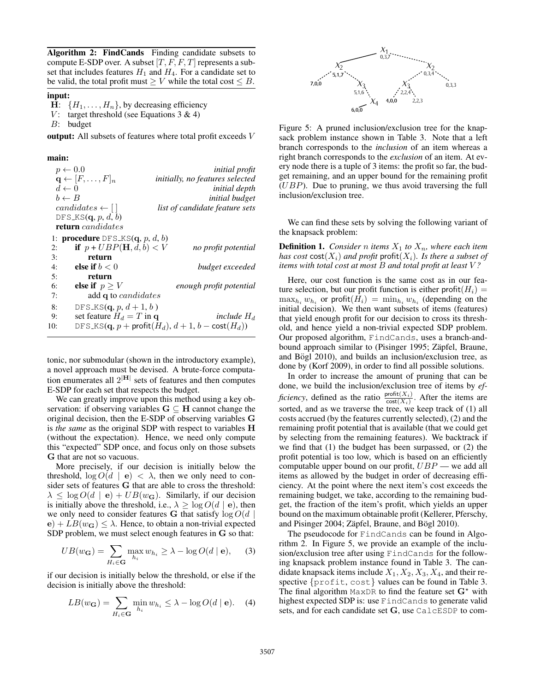Algorithm 2: FindCands Finding candidate subsets to compute E-SDP over. A subset  $[T, F, F, T]$  represents a subset that includes features  $H_1$  and  $H_4$ . For a candidate set to be valid, the total profit must  $\geq V$  while the total cost  $\leq B$ .

# input:

H:  $\{H_1, \ldots, H_n\}$ , by decreasing efficiency<br>V: target threshold (see Equations 3 & 4)

target threshold (see Equations  $3 \& 4$ )

B: budget

output: All subsets of features where total profit exceeds V

main:

|     | $p \leftarrow 0.0$                        | <i>initial profit</i>                                           |
|-----|-------------------------------------------|-----------------------------------------------------------------|
|     | $\mathbf{q} \leftarrow [F, \ldots, F]_n$  | initially, no features selected                                 |
|     | $d \leftarrow 0$                          | <i>initial depth</i>                                            |
|     | $b \leftarrow B$                          | <i>initial budget</i>                                           |
|     | $candidates \leftarrow \Box$              | list of candidate feature sets                                  |
|     | DFS_KS $(q, p, d, b)$                     |                                                                 |
|     | <b>return</b> candidates                  |                                                                 |
|     | 1: <b>procedure</b> DFS_KS $(q, p, d, b)$ |                                                                 |
| 2:  | if $p + UBP(H, d, b) < V$                 | no profit potential                                             |
| 3:  | return                                    |                                                                 |
| 4:  | else if $b < 0$                           | budget exceeded                                                 |
| 5:  | return                                    |                                                                 |
| 6:  | else if $p \geq V$                        | enough profit potential                                         |
| 7:  | add q to <i>candidates</i>                |                                                                 |
| 8:  | DFS_KS $(q, p, d+1, b)$                   |                                                                 |
| 9:  | set feature $H_d = T$ in q                | include H <sub>d</sub>                                          |
| 10: |                                           | DFS_KS(q, p + profit $(H_d)$ , $d+1$ , $b - \text{cost}(H_d)$ ) |

tonic, nor submodular (shown in the introductory example), a novel approach must be devised. A brute-force computation enumerates all  $2^{|H|}$  sets of features and then computes E-SDP for each set that respects the budget.

We can greatly improve upon this method using a key observation: if observing variables  $G \subseteq H$  cannot change the original decision, then the E-SDP of observing variables G is *the same* as the original SDP with respect to variables H (without the expectation). Hence, we need only compute this "expected" SDP once, and focus only on those subsets G that are not so vacuous.

More precisely, if our decision is initially below the threshold,  $\log O(d \mid \mathbf{e}) < \lambda$ , then we only need to consider sets of features G that are able to cross the threshold:  $\lambda \leq \log O(d \mid \mathbf{e}) + UB(w_{\mathbf{G}})$ . Similarly, if our decision is initially above the threshold, i.e.,  $\lambda \ge \log O(d \mid e)$ , then we only need to consider features G that satisfy  $\log O(d)$  $\mathbf{e}$ ) +  $LB(w_{\mathbf{G}}) \leq \lambda$ . Hence, to obtain a non-trivial expected SDP problem, we must select enough features in G so that:

$$
UB(w_{\mathbf{G}}) = \sum_{H_i \in \mathbf{G}} \max_{h_i} w_{h_i} \ge \lambda - \log O(d \mid \mathbf{e}), \quad (3)
$$

if our decision is initially below the threshold, or else if the decision is initially above the threshold:

$$
LB(w_{\mathbf{G}}) = \sum_{H_i \in \mathbf{G}} \min_{h_i} w_{h_i} \leq \lambda - \log O(d \mid \mathbf{e}). \quad (4)
$$



Figure 5: A pruned inclusion/exclusion tree for the knapsack problem instance shown in Table 3. Note that a left branch corresponds to the *inclusion* of an item whereas a right branch corresponds to the *exclusion* of an item. At every node there is a tuple of 3 items: the profit so far, the budget remaining, and an upper bound for the remaining profit  $(UBP)$ . Due to pruning, we thus avoid traversing the full inclusion/exclusion tree.

We can find these sets by solving the following variant of the knapsack problem:

**Definition 1.** *Consider n items*  $X_1$  *to*  $X_n$ *, where each item has cost*  $cost(X_i)$  *and profit* profit $(X_i)$ *. Is there a subset of items with total cost at most* B *and total profit at least* V *?*

Here, our cost function is the same cost as in our feature selection, but our profit function is either profit $(H_i)$  =  $\max_{h_i} w_{h_i}$  or profit $(H_i) = \min_{h_i} w_{h_i}$  (depending on the initial decision). We then want subsets of items (features) that yield enough profit for our decision to cross its threshold, and hence yield a non-trivial expected SDP problem. Our proposed algorithm, FindCands, uses a branch-andbound approach similar to (Pisinger 1995; Zäpfel, Braune, and Bögl 2010), and builds an inclusion/exclusion tree, as done by (Korf 2009), in order to find all possible solutions.

In order to increase the amount of pruning that can be done, we build the inclusion/exclusion tree of items by *efficiency*, defined as the ratio  $\frac{\text{profit}(X_i)}{\text{cost}(X_i)}$ . After the items are sorted, and as we traverse the tree, we keep track of (1) all costs accrued (by the features currently selected), (2) and the remaining profit potential that is available (that we could get by selecting from the remaining features). We backtrack if we find that (1) the budget has been surpassed, or (2) the profit potential is too low, which is based on an efficiently computable upper bound on our profit,  $UBP$  — we add all items as allowed by the budget in order of decreasing efficiency. At the point where the next item's cost exceeds the remaining budget, we take, according to the remaining budget, the fraction of the item's profit, which yields an upper bound on the maximum obtainable profit (Kellerer, Pferschy, and Pisinger 2004; Zäpfel, Braune, and Bögl 2010).

The pseudocode for FindCands can be found in Algorithm 2. In Figure 5, we provide an example of the inclusion/exclusion tree after using FindCands for the following knapsack problem instance found in Table 3. The candidate knapsack items include  $X_1, X_2, X_3, X_4$ , and their respective {profit, cost} values can be found in Table 3. The final algorithm MaxDR to find the feature set  $G^*$  with highest expected SDP is: use FindCands to generate valid sets, and for each candidate set G, use CalcESDP to com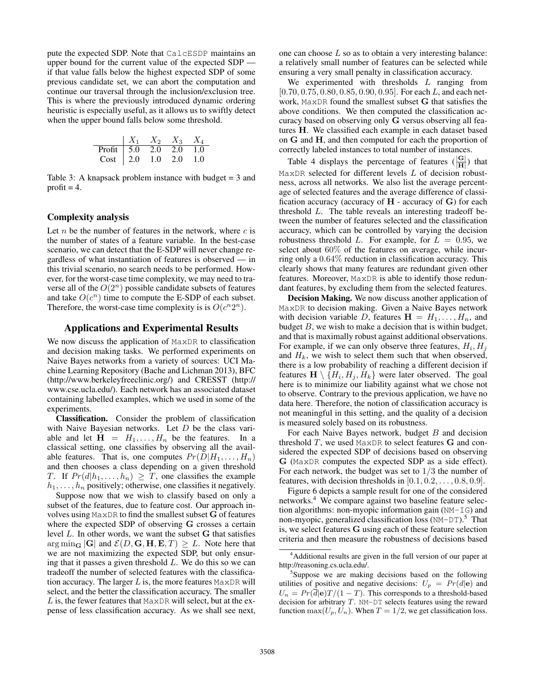pute the expected SDP. Note that CalcESDP maintains an upper bound for the current value of the expected SDP if that value falls below the highest expected SDP of some previous candidate set, we can abort the computation and continue our traversal through the inclusion/exclusion tree. This is where the previously introduced dynamic ordering heuristic is especially useful, as it allows us to swiftly detect when the upper bound falls below some threshold.

| $X_1$  | $X_2$ | $X_3$ | $X_4$ |     |
|--------|-------|-------|-------|-----|
| Profit | 5.0   | 2.0   | 2.0   | 1.0 |
| Cost   | 2.0   | 1.0   | 2.0   | 1.0 |

Table 3: A knapsack problem instance with budget  $=$  3 and profit  $= 4$ .

# Complexity analysis

Let  $n$  be the number of features in the network, where  $c$  is the number of states of a feature variable. In the best-case scenario, we can detect that the E-SDP will never change regardless of what instantiation of features is observed — in this trivial scenario, no search needs to be performed. However, for the worst-case time complexity, we may need to traverse all of the  $O(2^n)$  possible candidate subsets of features and take  $O(c^n)$  time to compute the E-SDP of each subset. Therefore, the worst-case time complexity is is  $O(c^n 2^n)$ .

# Applications and Experimental Results

We now discuss the application of MaxDR to classification and decision making tasks. We performed experiments on Naive Bayes networks from a variety of sources: UCI Machine Learning Repository (Bache and Lichman 2013), BFC (http://www.berkeleyfreeclinic.org/) and CRESST (http:// www.cse.ucla.edu/). Each network has an associated dataset containing labelled examples, which we used in some of the experiments.

Classification. Consider the problem of classification with Naive Bayesian networks. Let D be the class variable and let  $H = H_1, \ldots, H_n$  be the features. In a classical setting, one classifies by observing all the available features. That is, one computes  $Pr(D|H_1, \ldots, H_n)$ and then chooses a class depending on a given threshold T. If  $Pr(d|h_1, \ldots, h_n) \geq T$ , one classifies the example  $h_1, \ldots, h_n$  positively; otherwise, one classifies it negatively.

Suppose now that we wish to classify based on only a subset of the features, due to feature cost. Our approach involves using MaxDR to find the smallest subset G of features where the expected SDP of observing G crosses a certain level L. In other words, we want the subset G that satisfies arg min<sub>G</sub> |G| and  $\mathcal{E}(D, G, H, E, T) \geq L$ . Note here that we are not maximizing the expected SDP, but only ensuring that it passes a given threshold  $L$ . We do this so we can tradeoff the number of selected features with the classification accuracy. The larger  $L$  is, the more features MaxDR will select, and the better the classification accuracy. The smaller  $L$  is, the fewer features that MaxDR will select, but at the expense of less classification accuracy. As we shall see next, one can choose  $L$  so as to obtain a very interesting balance: a relatively small number of features can be selected while ensuring a very small penalty in classification accuracy.

We experimented with thresholds  $L$  ranging from  $[0.70, 0.75, 0.80, 0.85, 0.90, 0.95]$ . For each L, and each network, MaxDR found the smallest subset G that satisfies the above conditions. We then computed the classification accuracy based on observing only G versus observing all features H. We classified each example in each dataset based on G and H, and then computed for each the proportion of correctly labeled instances to total number of instances.

Table 4 displays the percentage of features  $(\frac{|G|}{|H|})$  that  $MaxDR$  selected for different levels  $L$  of decision robustness, across all networks. We also list the average percentage of selected features and the average difference of classification accuracy (accuracy of  $H$  - accuracy of  $G$ ) for each threshold L. The table reveals an interesting tradeoff between the number of features selected and the classification accuracy, which can be controlled by varying the decision robustness threshold L. For example, for  $L = 0.95$ , we select about 60% of the features on average, while incurring only a 0.64% reduction in classification accuracy. This clearly shows that many features are redundant given other features. Moreover, MaxDR is able to identify those redundant features, by excluding them from the selected features.

Decision Making. We now discuss another application of MaxDR to decision making. Given a Naive Bayes network with decision variable D, features  $\mathbf{H} = H_1, \dots, H_n$ , and budget  $B$ , we wish to make a decision that is within budget, and that is maximally robust against additional observations. For example, if we can only observe three features,  $H_i$ ,  $H_j$ and  $H_k$ , we wish to select them such that when observed, there is a low probability of reaching a different decision if features  $\mathbf{H} \setminus \{H_i, H_j, H_k\}$  were later observed. The goal here is to minimize our liability against what we chose not to observe. Contrary to the previous application, we have no data here. Therefore, the notion of classification accuracy is not meaningful in this setting, and the quality of a decision is measured solely based on its robustness.

For each Naive Bayes network, budget  $B$  and decision threshold  $T$ , we used MaxDR to select features  $G$  and considered the expected SDP of decisions based on observing G (MaxDR computes the expected SDP as a side effect). For each network, the budget was set to 1/3 the number of features, with decision thresholds in  $[0.1, 0.2, \ldots, 0.8, 0.9]$ .

Figure 6 depicts a sample result for one of the considered networks.<sup>4</sup> We compare against two baseline feature selection algorithms: non-myopic information gain (NM-IG) and non-myopic, generalized classification loss  $(NM-DT)$ .<sup>5</sup> That is, we select features G using each of these feature selection criteria and then measure the robustness of decisions based

<sup>&</sup>lt;sup>4</sup>Additional results are given in the full version of our paper at http://reasoning.cs.ucla.edu/.

<sup>&</sup>lt;sup>5</sup>Suppose we are making decisions based on the following utilities of positive and negative decisions:  $U_p = Pr(d|e)$  and  $U_n = Pr(\overline{d}|\mathbf{e})T/(1 - T)$ . This corresponds to a threshold-based decision for arbitrary  $T$ . NM-DT selects features using the reward function  $\max(U_p, U_n)$ . When  $T = 1/2$ , we get classification loss.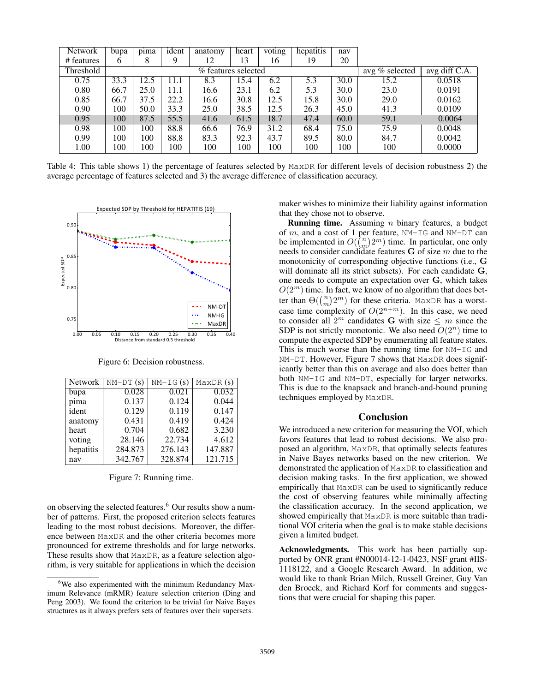| Network                 | bupa | pima | ident | anatomy               | heart | voting | hepatitis | nav  |                |               |
|-------------------------|------|------|-------|-----------------------|-------|--------|-----------|------|----------------|---------------|
| $\overline{t}$ features | 6    |      | Q     | 12                    | 13    | 16     | 19        | 20   |                |               |
| Threshold               |      |      |       | $%$ features selected |       |        |           |      | avg % selected | avg diff C.A. |
| 0.75                    | 33.3 | 12.5 | 11.1  | 8.3                   | 15.4  | 6.2    | 5.3       | 30.0 | 15.2           | 0.0518        |
| 0.80                    | 66.7 | 25.0 | 11.1  | 16.6                  | 23.1  | 6.2    | 5.3       | 30.0 | 23.0           | 0.0191        |
| 0.85                    | 66.7 | 37.5 | 22.2  | 16.6                  | 30.8  | 12.5   | 15.8      | 30.0 | 29.0           | 0.0162        |
| 0.90                    | 100  | 50.0 | 33.3  | 25.0                  | 38.5  | 12.5   | 26.3      | 45.0 | 41.3           | 0.0109        |
| 0.95                    | 100  | 87.5 | 55.5  | 41.6                  | 61.5  | 18.7   | 47.4      | 60.0 | 59.1           | 0.0064        |
| 0.98                    | 100  | 100  | 88.8  | 66.6                  | 76.9  | 31.2   | 68.4      | 75.0 | 75.9           | 0.0048        |
| 0.99                    | 100  | 100  | 88.8  | 83.3                  | 92.3  | 43.7   | 89.5      | 80.0 | 84.7           | 0.0042        |
| 1.00                    | 100  | 100  | 100   | 100                   | 100   | 100    | 100       | 100  | 100            | 0.0000        |

Table 4: This table shows 1) the percentage of features selected by MaxDR for different levels of decision robustness 2) the average percentage of features selected and 3) the average difference of classification accuracy.



Figure 6: Decision robustness.

| <b>Network</b> | $NM-DT(s)$ | $\overline{NM-1}G(s)$ | $\overline{\text{MaxDR}}$ (s) |
|----------------|------------|-----------------------|-------------------------------|
| bupa           | 0.028      | 0.021                 | 0.032                         |
| pima           | 0.137      | 0.124                 | 0.044                         |
| ident          | 0.129      | 0.119                 | 0.147                         |
| anatomy        | 0.431      | 0.419                 | 0.424                         |
| heart          | 0.704      | 0.682                 | 3.230                         |
| voting         | 28.146     | 22.734                | 4.612                         |
| hepatitis      | 284.873    | 276.143               | 147.887                       |
| nav            | 342.767    | 328.874               | 121.715                       |

Figure 7: Running time.

on observing the selected features.<sup>6</sup> Our results show a number of patterns. First, the proposed criterion selects features leading to the most robust decisions. Moreover, the difference between MaxDR and the other criteria becomes more pronounced for extreme thresholds and for large networks. These results show that MaxDR, as a feature selection algorithm, is very suitable for applications in which the decision maker wishes to minimize their liability against information that they chose not to observe.

**Running time.** Assuming *n* binary features, a budget of  $m$ , and a cost of 1 per feature, NM-IG and NM-DT can be implemented in  $O(\binom{n}{m} 2^m)$  time. In particular, one only needs to consider candidate features  $G$  of size  $m$  due to the monotonicity of corresponding objective functions (i.e., G will dominate all its strict subsets). For each candidate G, one needs to compute an expectation over G, which takes  $O(2^m)$  time. In fact, we know of no algorithm that does better than  $\Theta(\binom{n}{m}2^m)$  for these criteria. MaxDR has a worstcase time complexity of  $O(2^{n+m})$ . In this case, we need to consider all  $2^m$  candidates G with size  $\leq m$  since the SDP is not strictly monotonic. We also need  $O(2^n)$  time to compute the expected SDP by enumerating all feature states. This is much worse than the running time for NM-IG and NM-DT. However, Figure 7 shows that MaxDR does significantly better than this on average and also does better than both NM-IG and NM-DT, especially for larger networks. This is due to the knapsack and branch-and-bound pruning techniques employed by MaxDR.

# **Conclusion**

We introduced a new criterion for measuring the VOI, which favors features that lead to robust decisions. We also proposed an algorithm, MaxDR, that optimally selects features in Naive Bayes networks based on the new criterion. We demonstrated the application of MaxDR to classification and decision making tasks. In the first application, we showed empirically that MaxDR can be used to significantly reduce the cost of observing features while minimally affecting the classification accuracy. In the second application, we showed empirically that MaxDR is more suitable than traditional VOI criteria when the goal is to make stable decisions given a limited budget.

Acknowledgments. This work has been partially supported by ONR grant #N00014-12-1-0423, NSF grant #IIS-1118122, and a Google Research Award. In addition, we would like to thank Brian Milch, Russell Greiner, Guy Van den Broeck, and Richard Korf for comments and suggestions that were crucial for shaping this paper.

<sup>&</sup>lt;sup>6</sup>We also experimented with the minimum Redundancy Maximum Relevance (mRMR) feature selection criterion (Ding and Peng 2003). We found the criterion to be trivial for Naive Bayes structures as it always prefers sets of features over their supersets.